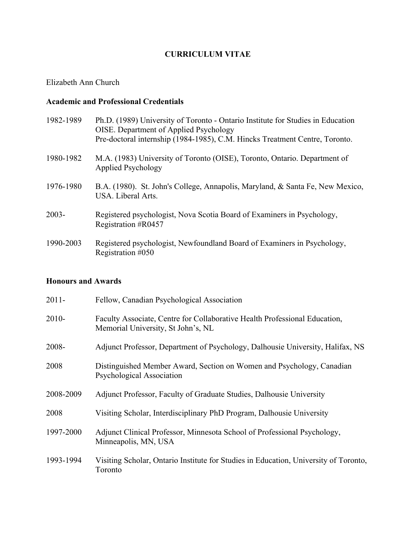### **CURRICULUM VITAE**

### Elizabeth Ann Church

### **Academic and Professional Credentials**

| 1982-1989 | Ph.D. (1989) University of Toronto - Ontario Institute for Studies in Education<br>OISE. Department of Applied Psychology<br>Pre-doctoral internship (1984-1985), C.M. Hincks Treatment Centre, Toronto. |
|-----------|----------------------------------------------------------------------------------------------------------------------------------------------------------------------------------------------------------|
| 1980-1982 | M.A. (1983) University of Toronto (OISE), Toronto, Ontario. Department of<br>Applied Psychology                                                                                                          |
| 1976-1980 | B.A. (1980). St. John's College, Annapolis, Maryland, & Santa Fe, New Mexico,<br>USA. Liberal Arts.                                                                                                      |
| $2003 -$  | Registered psychologist, Nova Scotia Board of Examiners in Psychology,<br>Registration #R0457                                                                                                            |
| 1990-2003 | Registered psychologist, Newfoundland Board of Examiners in Psychology,<br>Registration #050                                                                                                             |

### **Honours and Awards**

| $2011 -$  | Fellow, Canadian Psychological Association                                                                       |
|-----------|------------------------------------------------------------------------------------------------------------------|
| $2010 -$  | Faculty Associate, Centre for Collaborative Health Professional Education,<br>Memorial University, St John's, NL |
| 2008-     | Adjunct Professor, Department of Psychology, Dalhousie University, Halifax, NS                                   |
| 2008      | Distinguished Member Award, Section on Women and Psychology, Canadian<br>Psychological Association               |
| 2008-2009 | Adjunct Professor, Faculty of Graduate Studies, Dalhousie University                                             |
| 2008      | Visiting Scholar, Interdisciplinary PhD Program, Dalhousie University                                            |
| 1997-2000 | Adjunct Clinical Professor, Minnesota School of Professional Psychology,<br>Minneapolis, MN, USA                 |
| 1993-1994 | Visiting Scholar, Ontario Institute for Studies in Education, University of Toronto,<br>Toronto                  |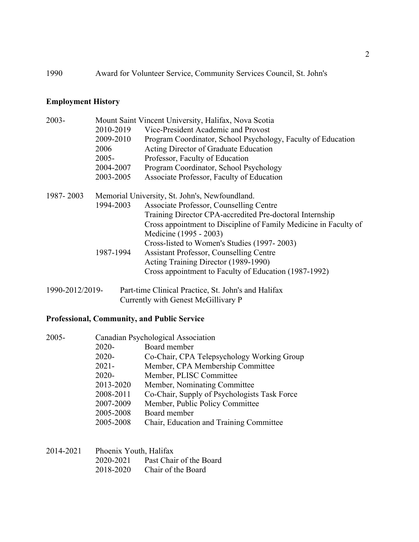### **Employment History**

| $2003 -$        | Mount Saint Vincent University, Halifax, Nova Scotia |                                                                  |  |
|-----------------|------------------------------------------------------|------------------------------------------------------------------|--|
|                 | 2010-2019                                            | Vice-President Academic and Provost                              |  |
|                 | 2009-2010                                            | Program Coordinator, School Psychology, Faculty of Education     |  |
|                 | 2006                                                 | Acting Director of Graduate Education                            |  |
|                 | $2005 -$                                             | Professor, Faculty of Education                                  |  |
|                 | 2004-2007                                            | Program Coordinator, School Psychology                           |  |
|                 | 2003-2005                                            | Associate Professor, Faculty of Education                        |  |
| 1987-2003       | Memorial University, St. John's, Newfoundland.       |                                                                  |  |
|                 | 1994-2003                                            | Associate Professor, Counselling Centre                          |  |
|                 |                                                      | Training Director CPA-accredited Pre-doctoral Internship         |  |
|                 |                                                      | Cross appointment to Discipline of Family Medicine in Faculty of |  |
|                 |                                                      | Medicine (1995 - 2003)                                           |  |
|                 |                                                      | Cross-listed to Women's Studies (1997-2003)                      |  |
|                 | 1987-1994                                            | <b>Assistant Professor, Counselling Centre</b>                   |  |
|                 |                                                      | Acting Training Director (1989-1990)                             |  |
|                 |                                                      | Cross appointment to Faculty of Education (1987-1992)            |  |
| 1990-2012/2019- |                                                      | Part-time Clinical Practice, St. John's and Halifax              |  |

Currently with Genest McGillivary P

## **Professional, Community, and Public Service**

| $2005 -$ | Canadian Psychological Association |                                              |  |
|----------|------------------------------------|----------------------------------------------|--|
|          | 2020-                              | Board member                                 |  |
|          | $2020 -$                           | Co-Chair, CPA Telepsychology Working Group   |  |
|          | $2021 -$                           | Member, CPA Membership Committee             |  |
|          | $2020 -$                           | Member, PLISC Committee                      |  |
|          | 2013-2020                          | Member, Nominating Committee                 |  |
|          | 2008-2011                          | Co-Chair, Supply of Psychologists Task Force |  |
|          | 2007-2009                          | Member, Public Policy Committee              |  |
|          | 2005-2008                          | Board member                                 |  |
|          | 2005-2008                          | Chair, Education and Training Committee      |  |
|          |                                    |                                              |  |

| 2014-2021 | Phoenix Youth, Halifax |                         |
|-----------|------------------------|-------------------------|
|           | 2020-2021              | Past Chair of the Board |
|           | 2018-2020              | Chair of the Board      |

2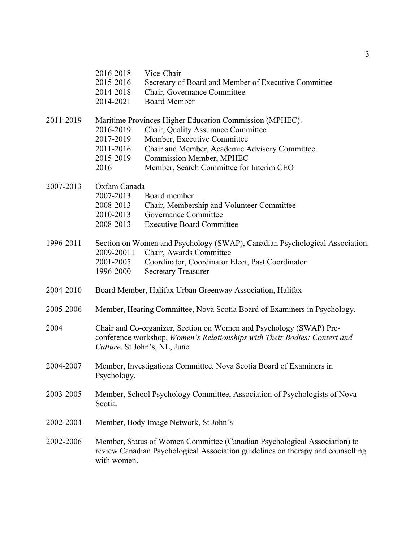|           | 2016-2018<br>2015-2016<br>2014-2018                                                                                                                                               | Vice-Chair<br>Secretary of Board and Member of Executive Committee<br>Chair, Governance Committee<br><b>Board Member</b>                                     |
|-----------|-----------------------------------------------------------------------------------------------------------------------------------------------------------------------------------|--------------------------------------------------------------------------------------------------------------------------------------------------------------|
|           | 2014-2021                                                                                                                                                                         |                                                                                                                                                              |
| 2011-2019 |                                                                                                                                                                                   | Maritime Provinces Higher Education Commission (MPHEC).                                                                                                      |
|           | 2016-2019<br>2017-2019                                                                                                                                                            | Chair, Quality Assurance Committee                                                                                                                           |
|           | 2011-2016                                                                                                                                                                         | Member, Executive Committee<br>Chair and Member, Academic Advisory Committee.                                                                                |
|           | 2015-2019                                                                                                                                                                         | <b>Commission Member, MPHEC</b>                                                                                                                              |
|           | 2016                                                                                                                                                                              | Member, Search Committee for Interim CEO                                                                                                                     |
| 2007-2013 | Oxfam Canada                                                                                                                                                                      |                                                                                                                                                              |
|           | 2007-2013                                                                                                                                                                         | Board member                                                                                                                                                 |
|           | 2008-2013                                                                                                                                                                         | Chair, Membership and Volunteer Committee                                                                                                                    |
|           | 2010-2013                                                                                                                                                                         | Governance Committee                                                                                                                                         |
|           | 2008-2013                                                                                                                                                                         | <b>Executive Board Committee</b>                                                                                                                             |
| 1996-2011 |                                                                                                                                                                                   | Section on Women and Psychology (SWAP), Canadian Psychological Association.                                                                                  |
|           | 2009-20011                                                                                                                                                                        | Chair, Awards Committee                                                                                                                                      |
|           | 2001-2005<br>1996-2000                                                                                                                                                            | Coordinator, Coordinator Elect, Past Coordinator<br><b>Secretary Treasurer</b>                                                                               |
| 2004-2010 |                                                                                                                                                                                   | Board Member, Halifax Urban Greenway Association, Halifax                                                                                                    |
| 2005-2006 |                                                                                                                                                                                   | Member, Hearing Committee, Nova Scotia Board of Examiners in Psychology.                                                                                     |
| 2004      | Chair and Co-organizer, Section on Women and Psychology (SWAP) Pre-<br>conference workshop, Women's Relationships with Their Bodies: Context and<br>Culture. St John's, NL, June. |                                                                                                                                                              |
| 2004-2007 | Member, Investigations Committee, Nova Scotia Board of Examiners in<br>Psychology.                                                                                                |                                                                                                                                                              |
| 2003-2005 | Member, School Psychology Committee, Association of Psychologists of Nova<br>Scotia.                                                                                              |                                                                                                                                                              |
| 2002-2004 | Member, Body Image Network, St John's                                                                                                                                             |                                                                                                                                                              |
| 2002-2006 | with women.                                                                                                                                                                       | Member, Status of Women Committee (Canadian Psychological Association) to<br>review Canadian Psychological Association guidelines on therapy and counselling |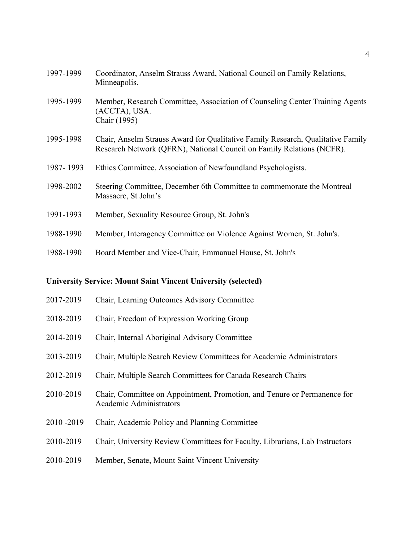| 1997-1999 | Coordinator, Anselm Strauss Award, National Council on Family Relations,<br>Minneapolis.                                                                 |
|-----------|----------------------------------------------------------------------------------------------------------------------------------------------------------|
| 1995-1999 | Member, Research Committee, Association of Counseling Center Training Agents<br>(ACCTA), USA.<br>Chair (1995)                                            |
| 1995-1998 | Chair, Anselm Strauss Award for Qualitative Family Research, Qualitative Family<br>Research Network (QFRN), National Council on Family Relations (NCFR). |
| 1987-1993 | Ethics Committee, Association of Newfoundland Psychologists.                                                                                             |
| 1998-2002 | Steering Committee, December 6th Committee to commemorate the Montreal<br>Massacre, St John's                                                            |
| 1991-1993 | Member, Sexuality Resource Group, St. John's                                                                                                             |
| 1988-1990 | Member, Interagency Committee on Violence Against Women, St. John's.                                                                                     |
| 1988-1990 | Board Member and Vice-Chair, Emmanuel House, St. John's                                                                                                  |

#### **University Service: Mount Saint Vincent University (selected)**

- 2017-2019 Chair, Learning Outcomes Advisory Committee
- 2018-2019 Chair, Freedom of Expression Working Group
- 2014-2019 Chair, Internal Aboriginal Advisory Committee
- 2013-2019 Chair, Multiple Search Review Committees for Academic Administrators
- 2012-2019 Chair, Multiple Search Committees for Canada Research Chairs
- 2010-2019 Chair, Committee on Appointment, Promotion, and Tenure or Permanence for Academic Administrators
- 2010 -2019 Chair, Academic Policy and Planning Committee
- 2010-2019 Chair, University Review Committees for Faculty, Librarians, Lab Instructors
- 2010-2019 Member, Senate, Mount Saint Vincent University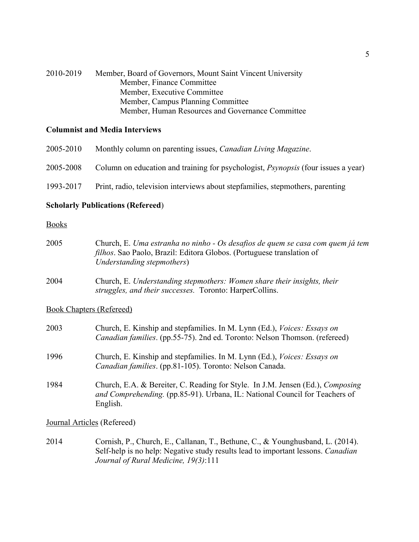| 2010-2019 | Member, Board of Governors, Mount Saint Vincent University |
|-----------|------------------------------------------------------------|
|           | Member, Finance Committee                                  |
|           | Member, Executive Committee                                |
|           | Member, Campus Planning Committee                          |
|           | Member, Human Resources and Governance Committee           |

### **Columnist and Media Interviews**

| 2005-2010 | Monthly column on parenting issues, <i>Canadian Living Magazine</i> .                    |
|-----------|------------------------------------------------------------------------------------------|
| 2005-2008 | Column on education and training for psychologist, <i>Psynopsis</i> (four issues a year) |
| 1993-2017 | Print, radio, television interviews about stepfamilies, stepmothers, parenting           |

### **Scholarly Publications (Refereed**)

### Books

| 2005                            | Church, E. Uma estranha no ninho - Os desafios de quem se casa com quem já tem<br><i>filhos</i> . Sao Paolo, Brazil: Editora Globos. (Portuguese translation of<br>Understanding stepmothers) |
|---------------------------------|-----------------------------------------------------------------------------------------------------------------------------------------------------------------------------------------------|
| 2004                            | Church, E. Understanding stepmothers: Women share their insights, their<br>struggles, and their successes. Toronto: HarperCollins.                                                            |
| <b>Book Chapters (Refereed)</b> |                                                                                                                                                                                               |
| 2003                            | Church, E. Kinship and stepfamilies. In M. Lynn (Ed.), <i>Voices: Essays on</i><br>Canadian families. (pp.55-75). 2nd ed. Toronto: Nelson Thomson. (refereed)                                 |
| 1996                            | Church, E. Kinship and stepfamilies. In M. Lynn (Ed.), <i>Voices: Essays on</i><br>Canadian families. (pp.81-105). Toronto: Nelson Canada.                                                    |

1984 Church, E.A. & Bereiter, C. Reading for Style. In J.M. Jensen (Ed.), *Composing and Comprehending.* (pp.85-91). Urbana, IL: National Council for Teachers of English.

Journal Articles (Refereed)

2014 Cornish, P., Church, E., Callanan, T., Bethune, C., & Younghusband, L. (2014). Self-help is no help: Negative study results lead to important lessons. *Canadian Journal of Rural Medicine, 19(3)*:111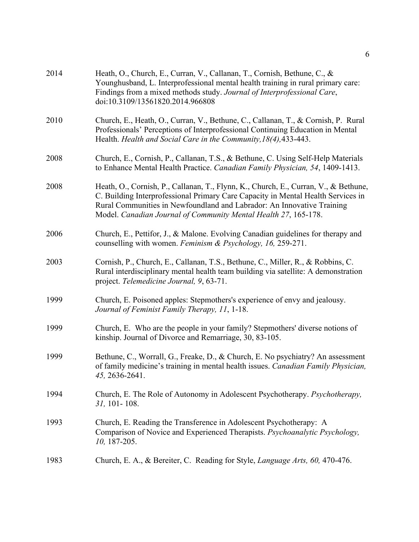| 2014 | Heath, O., Church, E., Curran, V., Callanan, T., Cornish, Bethune, C., &<br>Younghusband, L. Interprofessional mental health training in rural primary care:<br>Findings from a mixed methods study. Journal of Interprofessional Care,<br>doi:10.3109/13561820.2014.966808                                          |
|------|----------------------------------------------------------------------------------------------------------------------------------------------------------------------------------------------------------------------------------------------------------------------------------------------------------------------|
| 2010 | Church, E., Heath, O., Curran, V., Bethune, C., Callanan, T., & Cornish, P. Rural<br>Professionals' Perceptions of Interprofessional Continuing Education in Mental<br>Health. Health and Social Care in the Community, 18(4), 433-443.                                                                              |
| 2008 | Church, E., Cornish, P., Callanan, T.S., & Bethune, C. Using Self-Help Materials<br>to Enhance Mental Health Practice. Canadian Family Physician, 54, 1409-1413.                                                                                                                                                     |
| 2008 | Heath, O., Cornish, P., Callanan, T., Flynn, K., Church, E., Curran, V., & Bethune,<br>C. Building Interprofessional Primary Care Capacity in Mental Health Services in<br>Rural Communities in Newfoundland and Labrador: An Innovative Training<br>Model. Canadian Journal of Community Mental Health 27, 165-178. |
| 2006 | Church, E., Pettifor, J., & Malone. Evolving Canadian guidelines for therapy and<br>counselling with women. Feminism & Psychology, 16, 259-271.                                                                                                                                                                      |
| 2003 | Cornish, P., Church, E., Callanan, T.S., Bethune, C., Miller, R., & Robbins, C.<br>Rural interdisciplinary mental health team building via satellite: A demonstration<br>project. Telemedicine Journal, 9, 63-71.                                                                                                    |
| 1999 | Church, E. Poisoned apples: Stepmothers's experience of envy and jealousy.<br>Journal of Feminist Family Therapy, 11, 1-18.                                                                                                                                                                                          |
| 1999 | Church, E. Who are the people in your family? Stepmothers' diverse notions of<br>kinship. Journal of Divorce and Remarriage, 30, 83-105.                                                                                                                                                                             |
| 1999 | Bethune, C., Worrall, G., Freake, D., & Church, E. No psychiatry? An assessment<br>of family medicine's training in mental health issues. Canadian Family Physician,<br>45, 2636-2641.                                                                                                                               |
| 1994 | Church, E. The Role of Autonomy in Adolescent Psychotherapy. Psychotherapy,<br>$31, 101 - 108.$                                                                                                                                                                                                                      |
| 1993 | Church, E. Reading the Transference in Adolescent Psychotherapy: A<br>Comparison of Novice and Experienced Therapists. Psychoanalytic Psychology,<br>$10, 187 - 205.$                                                                                                                                                |
| 1983 | Church, E. A., & Bereiter, C. Reading for Style, Language Arts, 60, 470-476.                                                                                                                                                                                                                                         |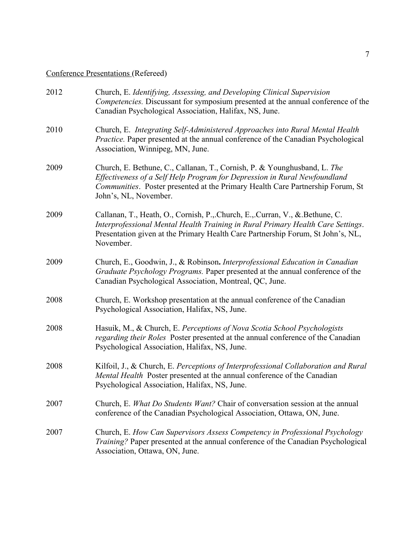# Conference Presentations (Refereed)

| 2012 | Church, E. Identifying, Assessing, and Developing Clinical Supervision<br>Competencies. Discussant for symposium presented at the annual conference of the<br>Canadian Psychological Association, Halifax, NS, June.                                             |
|------|------------------------------------------------------------------------------------------------------------------------------------------------------------------------------------------------------------------------------------------------------------------|
| 2010 | Church, E. Integrating Self-Administered Approaches into Rural Mental Health<br>Practice. Paper presented at the annual conference of the Canadian Psychological<br>Association, Winnipeg, MN, June.                                                             |
| 2009 | Church, E. Bethune, C., Callanan, T., Cornish, P. & Younghusband, L. The<br>Effectiveness of a Self Help Program for Depression in Rural Newfoundland<br>Communities. Poster presented at the Primary Health Care Partnership Forum, St<br>John's, NL, November. |
| 2009 | Callanan, T., Heath, O., Cornish, P., Church, E., Curran, V., & Bethune, C.<br>Interprofessional Mental Health Training in Rural Primary Health Care Settings.<br>Presentation given at the Primary Health Care Partnership Forum, St John's, NL,<br>November.   |
| 2009 | Church, E., Goodwin, J., & Robinson. Interprofessional Education in Canadian<br>Graduate Psychology Programs. Paper presented at the annual conference of the<br>Canadian Psychological Association, Montreal, QC, June.                                         |
| 2008 | Church, E. Workshop presentation at the annual conference of the Canadian<br>Psychological Association, Halifax, NS, June.                                                                                                                                       |
| 2008 | Hasuik, M., & Church, E. Perceptions of Nova Scotia School Psychologists<br>regarding their Roles Poster presented at the annual conference of the Canadian<br>Psychological Association, Halifax, NS, June.                                                     |
| 2008 | Kilfoil, J., & Church, E. Perceptions of Interprofessional Collaboration and Rural<br>Mental Health Poster presented at the annual conference of the Canadian<br>Psychological Association, Halifax, NS, June.                                                   |
| 2007 | Church, E. What Do Students Want? Chair of conversation session at the annual<br>conference of the Canadian Psychological Association, Ottawa, ON, June.                                                                                                         |
| 2007 | Church, E. How Can Supervisors Assess Competency in Professional Psychology<br>Training? Paper presented at the annual conference of the Canadian Psychological<br>Association, Ottawa, ON, June.                                                                |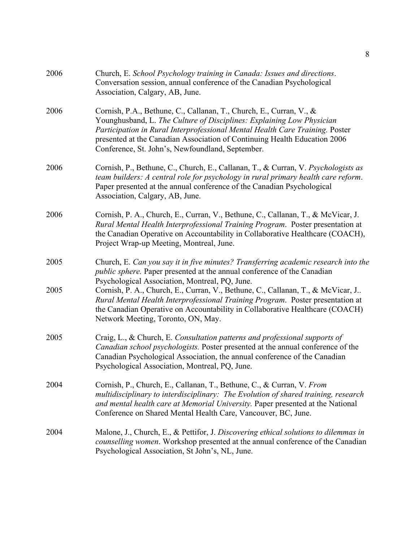| 2006 | Church, E. School Psychology training in Canada: Issues and directions.<br>Conversation session, annual conference of the Canadian Psychological<br>Association, Calgary, AB, June.                                                                                                                                                                           |
|------|---------------------------------------------------------------------------------------------------------------------------------------------------------------------------------------------------------------------------------------------------------------------------------------------------------------------------------------------------------------|
| 2006 | Cornish, P.A., Bethune, C., Callanan, T., Church, E., Curran, V., &<br>Younghusband, L. The Culture of Disciplines: Explaining Low Physician<br>Participation in Rural Interprofessional Mental Health Care Training. Poster<br>presented at the Canadian Association of Continuing Health Education 2006<br>Conference, St. John's, Newfoundland, September. |
| 2006 | Cornish, P., Bethune, C., Church, E., Callanan, T., & Curran, V. Psychologists as<br>team builders: A central role for psychology in rural primary health care reform.<br>Paper presented at the annual conference of the Canadian Psychological<br>Association, Calgary, AB, June.                                                                           |
| 2006 | Cornish, P. A., Church, E., Curran, V., Bethune, C., Callanan, T., & McVicar, J.<br>Rural Mental Health Interprofessional Training Program. Poster presentation at<br>the Canadian Operative on Accountability in Collaborative Healthcare (COACH),<br>Project Wrap-up Meeting, Montreal, June.                                                               |
| 2005 | Church, E. Can you say it in five minutes? Transferring academic research into the<br><i>public sphere</i> . Paper presented at the annual conference of the Canadian<br>Psychological Association, Montreal, PQ, June.                                                                                                                                       |
| 2005 | Cornish, P. A., Church, E., Curran, V., Bethune, C., Callanan, T., & McVicar, J<br>Rural Mental Health Interprofessional Training Program. Poster presentation at<br>the Canadian Operative on Accountability in Collaborative Healthcare (COACH)<br>Network Meeting, Toronto, ON, May.                                                                       |
| 2005 | Craig, L., & Church, E. Consultation patterns and professional supports of<br>Canadian school psychologists. Poster presented at the annual conference of the<br>Canadian Psychological Association, the annual conference of the Canadian<br>Psychological Association, Montreal, PQ, June.                                                                  |
| 2004 | Cornish, P., Church, E., Callanan, T., Bethune, C., & Curran, V. From<br>multidisciplinary to interdisciplinary: The Evolution of shared training, research<br>and mental health care at Memorial University. Paper presented at the National<br>Conference on Shared Mental Health Care, Vancouver, BC, June.                                                |
| 2004 | Malone, J., Church, E., & Pettifor, J. Discovering ethical solutions to dilemmas in<br>counselling women. Workshop presented at the annual conference of the Canadian<br>Psychological Association, St John's, NL, June.                                                                                                                                      |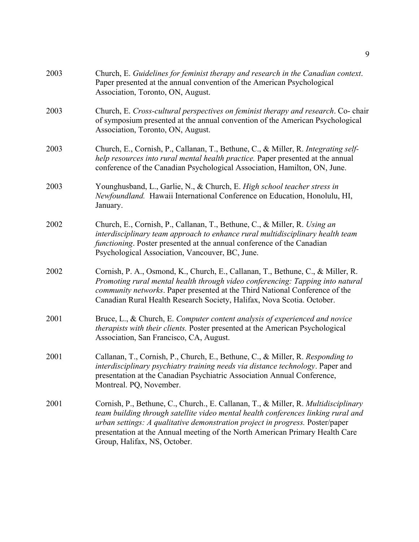| Church, E. Guidelines for feminist therapy and research in the Canadian context.<br>Paper presented at the annual convention of the American Psychological<br>Association, Toronto, ON, August.                                                                                                                                                                          |
|--------------------------------------------------------------------------------------------------------------------------------------------------------------------------------------------------------------------------------------------------------------------------------------------------------------------------------------------------------------------------|
| Church, E. Cross-cultural perspectives on feminist therapy and research. Co-chair<br>of symposium presented at the annual convention of the American Psychological<br>Association, Toronto, ON, August.                                                                                                                                                                  |
| Church, E., Cornish, P., Callanan, T., Bethune, C., & Miller, R. Integrating self-<br>help resources into rural mental health practice. Paper presented at the annual<br>conference of the Canadian Psychological Association, Hamilton, ON, June.                                                                                                                       |
| Younghusband, L., Garlie, N., & Church, E. High school teacher stress in<br>Newfoundland. Hawaii International Conference on Education, Honolulu, HI,<br>January.                                                                                                                                                                                                        |
| Church, E., Cornish, P., Callanan, T., Bethune, C., & Miller, R. Using an<br>interdisciplinary team approach to enhance rural multidisciplinary health team<br>functioning. Poster presented at the annual conference of the Canadian<br>Psychological Association, Vancouver, BC, June.                                                                                 |
| Cornish, P. A., Osmond, K., Church, E., Callanan, T., Bethune, C., & Miller, R.<br>Promoting rural mental health through video conferencing: Tapping into natural<br>community networks. Paper presented at the Third National Conference of the<br>Canadian Rural Health Research Society, Halifax, Nova Scotia. October.                                               |
| Bruce, L., & Church, E. Computer content analysis of experienced and novice<br>therapists with their clients. Poster presented at the American Psychological<br>Association, San Francisco, CA, August.                                                                                                                                                                  |
| Callanan, T., Cornish, P., Church, E., Bethune, C., & Miller, R. Responding to<br>interdisciplinary psychiatry training needs via distance technology. Paper and<br>presentation at the Canadian Psychiatric Association Annual Conference,<br>Montreal. PQ, November.                                                                                                   |
| Cornish, P., Bethune, C., Church., E. Callanan, T., & Miller, R. Multidisciplinary<br>team building through satellite video mental health conferences linking rural and<br>urban settings: A qualitative demonstration project in progress. Poster/paper<br>presentation at the Annual meeting of the North American Primary Health Care<br>Group, Halifax, NS, October. |
|                                                                                                                                                                                                                                                                                                                                                                          |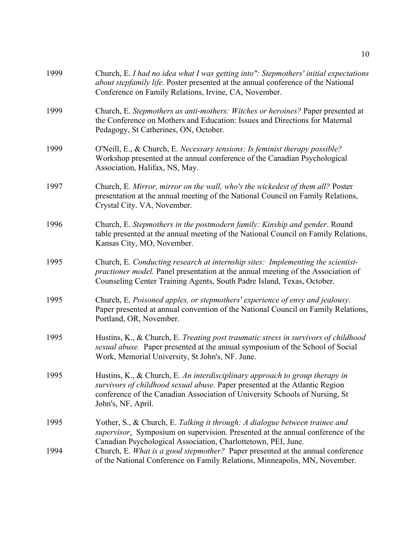| 1999 | Church, E. I had no idea what I was getting into": Stepmothers' initial expectations<br>about stepfamily life. Poster presented at the annual conference of the National<br>Conference on Family Relations, Irvine, CA, November.                               |
|------|-----------------------------------------------------------------------------------------------------------------------------------------------------------------------------------------------------------------------------------------------------------------|
| 1999 | Church, E. Stepmothers as anti-mothers: Witches or heroines? Paper presented at<br>the Conference on Mothers and Education: Issues and Directions for Maternal<br>Pedagogy, St Catherines, ON, October.                                                         |
| 1999 | O'Neill, E., & Church, E. Necessary tensions: Is feminist therapy possible?<br>Workshop presented at the annual conference of the Canadian Psychological<br>Association, Halifax, NS, May.                                                                      |
| 1997 | Church, E. Mirror, mirror on the wall, who's the wickedest of them all? Poster<br>presentation at the annual meeting of the National Council on Family Relations,<br>Crystal City. VA, November.                                                                |
| 1996 | Church, E. Stepmothers in the postmodern family: Kinship and gender. Round<br>table presented at the annual meeting of the National Council on Family Relations,<br>Kansas City, MO, November.                                                                  |
| 1995 | Church, E. Conducting research at internship sites: Implementing the scientist-<br>practioner model. Panel presentation at the annual meeting of the Association of<br>Counseling Center Training Agents, South Padre Island, Texas, October.                   |
| 1995 | Church, E. Poisoned apples, or stepmothers' experience of envy and jealousy.<br>Paper presented at annual convention of the National Council on Family Relations,<br>Portland, OR, November.                                                                    |
| 1995 | Hustins, K., & Church, E. Treating post traumatic stress in survivors of childhood<br>sexual abuse. Paper presented at the annual symposium of the School of Social<br>Work, Memorial University, St John's, NF. June.                                          |
| 1995 | Hustins, K., & Church, E. An interdisciplinary approach to group therapy in<br>survivors of childhood sexual abuse. Paper presented at the Atlantic Region<br>conference of the Canadian Association of University Schools of Nursing, St<br>John's, NF, April. |
| 1995 | Yother, S., & Church, E. Talking it through: A dialogue between trainee and<br>supervisor. Symposium on supervision. Presented at the annual conference of the<br>Canadian Psychological Association, Charlottetown, PEI, June.                                 |
| 1994 | Church, E. What is a good stepmother? Paper presented at the annual conference<br>of the National Conference on Family Relations, Minneapolis, MN, November.                                                                                                    |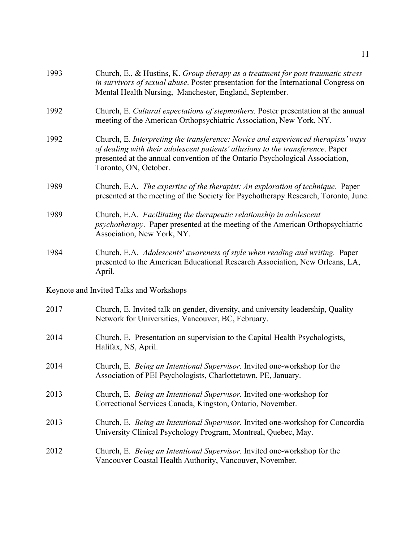| 1993                                           | Church, E., & Hustins, K. Group therapy as a treatment for post traumatic stress<br>in survivors of sexual abuse. Poster presentation for the International Congress on<br>Mental Health Nursing, Manchester, England, September.                                             |  |
|------------------------------------------------|-------------------------------------------------------------------------------------------------------------------------------------------------------------------------------------------------------------------------------------------------------------------------------|--|
| 1992                                           | Church, E. Cultural expectations of stepmothers. Poster presentation at the annual<br>meeting of the American Orthopsychiatric Association, New York, NY.                                                                                                                     |  |
| 1992                                           | Church, E. Interpreting the transference: Novice and experienced therapists' ways<br>of dealing with their adolescent patients' allusions to the transference. Paper<br>presented at the annual convention of the Ontario Psychological Association,<br>Toronto, ON, October. |  |
| 1989                                           | Church, E.A. The expertise of the therapist: An exploration of technique. Paper<br>presented at the meeting of the Society for Psychotherapy Research, Toronto, June.                                                                                                         |  |
| 1989                                           | Church, E.A. Facilitating the therapeutic relationship in adolescent<br><i>psychotherapy</i> . Paper presented at the meeting of the American Orthopsychiatric<br>Association, New York, NY.                                                                                  |  |
| 1984                                           | Church, E.A. Adolescents' awareness of style when reading and writing. Paper<br>presented to the American Educational Research Association, New Orleans, LA,<br>April.                                                                                                        |  |
| <b>Keynote and Invited Talks and Workshops</b> |                                                                                                                                                                                                                                                                               |  |
| 2017                                           | Church, E. Invited talk on gender, diversity, and university leadership, Quality<br>Network for Universities, Vancouver, BC, February.                                                                                                                                        |  |
| 2014                                           | Church, E. Presentation on supervision to the Capital Health Psychologists,<br>Halifax, NS, April.                                                                                                                                                                            |  |
| 2014                                           | Church, E. Being an Intentional Supervisor. Invited one-workshop for the<br>Association of PEI Psychologists, Charlottetown, PE, January.                                                                                                                                     |  |
| 2013                                           | Church, E. Being an Intentional Supervisor. Invited one-workshop for<br>Correctional Services Canada, Kingston, Ontario, November.                                                                                                                                            |  |
| 2013                                           | Church, E. Being an Intentional Supervisor. Invited one-workshop for Concordia<br>University Clinical Psychology Program, Montreal, Quebec, May.                                                                                                                              |  |
| 2012                                           | Church, E. Being an Intentional Supervisor. Invited one-workshop for the<br>Vancouver Coastal Health Authority, Vancouver, November.                                                                                                                                          |  |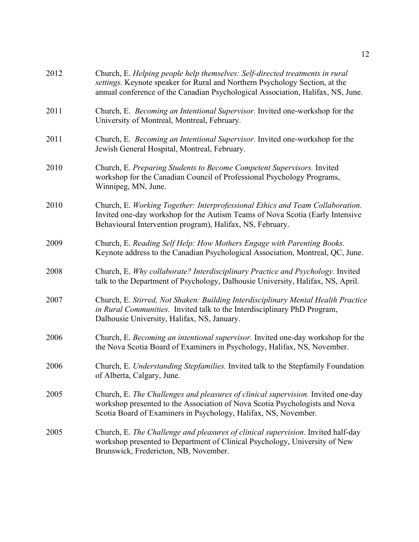| 2012 | Church, E. Helping people help themselves: Self-directed treatments in rural<br>settings. Keynote speaker for Rural and Northern Psychology Section, at the<br>annual conference of the Canadian Psychological Association, Halifax, NS, June. |
|------|------------------------------------------------------------------------------------------------------------------------------------------------------------------------------------------------------------------------------------------------|
| 2011 | Church, E. Becoming an Intentional Supervisor. Invited one-workshop for the<br>University of Montreal, Montreal, February.                                                                                                                     |
| 2011 | Church, E. Becoming an Intentional Supervisor. Invited one-workshop for the<br>Jewish General Hospital, Montreal, February.                                                                                                                    |
| 2010 | Church, E. Preparing Students to Become Competent Supervisors. Invited<br>workshop for the Canadian Council of Professional Psychology Programs,<br>Winnipeg, MN, June.                                                                        |
| 2010 | Church, E. Working Together: Interprofessional Ethics and Team Collaboration.<br>Invited one-day workshop for the Autism Teams of Nova Scotia (Early Intensive<br>Behavioural Intervention program), Halifax, NS, February.                    |
| 2009 | Church, E. Reading Self Help: How Mothers Engage with Parenting Books.<br>Keynote address to the Canadian Psychological Association, Montreal, QC, June.                                                                                       |
| 2008 | Church, E. Why collaborate? Interdisciplinary Practice and Psychology. Invited<br>talk to the Department of Psychology, Dalhousie University, Halifax, NS, April.                                                                              |
| 2007 | Church, E. Stirred, Not Shaken: Building Interdisciplinary Mental Health Practice<br>in Rural Communities. Invited talk to the Interdisciplinary PhD Program,<br>Dalhousie University, Halifax, NS, January.                                   |
| 2006 | Church, E. Becoming an intentional supervisor. Invited one-day workshop for the<br>the Nova Scotia Board of Examiners in Psychology, Halifax, NS, November.                                                                                    |
| 2006 | Church, E. Understanding Stepfamilies. Invited talk to the Stepfamily Foundation<br>of Alberta, Calgary, June.                                                                                                                                 |
| 2005 | Church, E. The Challenges and pleasures of clinical supervision. Invited one-day<br>workshop presented to the Association of Nova Scotia Psychologists and Nova<br>Scotia Board of Examiners in Psychology, Halifax, NS, November.             |
| 2005 | Church, E. The Challenge and pleasures of clinical supervision. Invited half-day<br>workshop presented to Department of Clinical Psychology, University of New<br>Brunswick, Fredericton, NB, November.                                        |